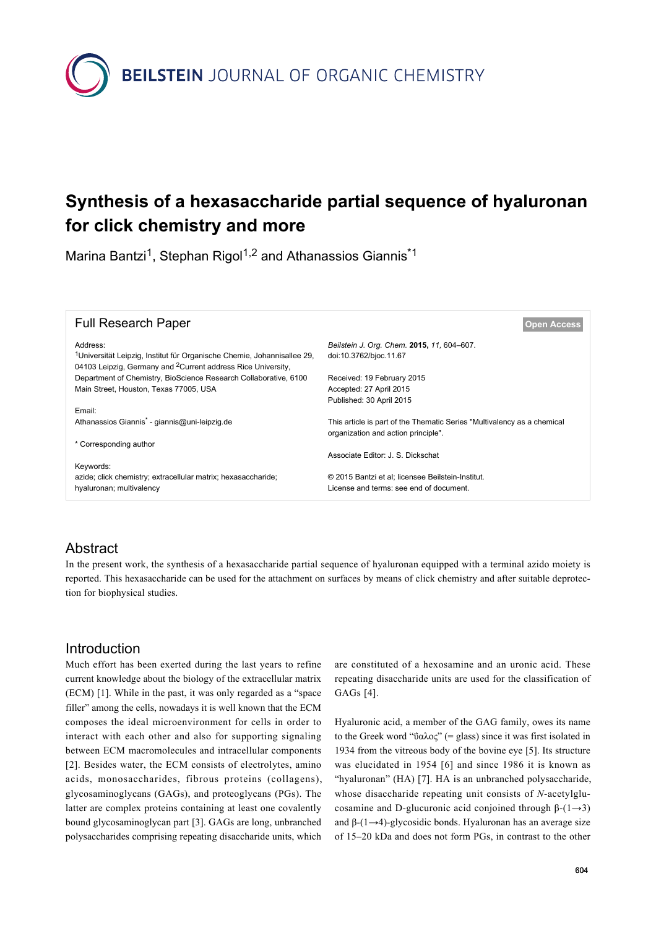**BEILSTEIN** JOURNAL OF ORGANIC CHEMISTRY

# **Synthesis of a hexasaccharide partial sequence of hyaluronan for click chemistry and more**

Marina Bantzi<sup>1</sup>, Stephan Rigol<sup>1,2</sup> and Athanassios Giannis<sup>\*1</sup>

| <b>Full Research Paper</b>                                                                      | <b>Open Access</b>                                                                                             |
|-------------------------------------------------------------------------------------------------|----------------------------------------------------------------------------------------------------------------|
| Address:<br><sup>1</sup> Universität Leipzig, Institut für Organische Chemie, Johannisallee 29, | Beilstein J. Org. Chem. 2015, 11, 604-607.<br>doi:10.3762/bjoc.11.67                                           |
| 04103 Leipzig, Germany and <sup>2</sup> Current address Rice University,                        |                                                                                                                |
| Department of Chemistry, BioScience Research Collaborative, 6100                                | Received: 19 February 2015                                                                                     |
| Main Street, Houston, Texas 77005, USA                                                          | Accepted: 27 April 2015                                                                                        |
|                                                                                                 | Published: 30 April 2015                                                                                       |
| Email:                                                                                          |                                                                                                                |
| Athanassios Giannis <sup>*</sup> - giannis@uni-leipzig.de                                       | This article is part of the Thematic Series "Multivalency as a chemical<br>organization and action principle". |
| * Corresponding author                                                                          |                                                                                                                |
|                                                                                                 | Associate Editor: J. S. Dickschat                                                                              |
| Keywords:                                                                                       |                                                                                                                |
| azide; click chemistry; extracellular matrix; hexasaccharide;                                   | © 2015 Bantzi et al: licensee Beilstein-Institut.                                                              |
| hyaluronan; multivalency                                                                        | License and terms: see end of document.                                                                        |

# Abstract

In the present work, the synthesis of a hexasaccharide partial sequence of hyaluronan equipped with a terminal azido moiety is reported. This hexasaccharide can be used for the attachment on surfaces by means of click chemistry and after suitable deprotection for biophysical studies.

## Introduction

Much effort has been exerted during the last years to refine current knowledge about the biology of the extracellular matrix (ECM) [\[1\].](#page-2-0) While in the past, it was only regarded as a "space filler" among the cells, nowadays it is well known that the ECM composes the ideal microenvironment for cells in order to interact with each other and also for supporting signaling between ECM macromolecules and intracellular components [\[2\]](#page-2-1). Besides water, the ECM consists of electrolytes, amino acids, monosaccharides, fibrous proteins (collagens), glycosaminoglycans (GAGs), and proteoglycans (PGs). The latter are complex proteins containing at least one covalently bound glycosaminoglycan part [\[3\].](#page-3-0) GAGs are long, unbranched polysaccharides comprising repeating disaccharide units, which

are constituted of a hexosamine and an uronic acid. These repeating disaccharide units are used for the classification of GAGs [\[4\]](#page-3-1).

Hyaluronic acid, a member of the GAG family, owes its name to the Greek word "ΰαλος" (= glass) since it was first isolated in 1934 from the vitreous body of the bovine eye [\[5\]](#page-3-2). Its structure was elucidated in 1954 [\[6\]](#page-3-3) and since 1986 it is known as "hyaluronan" (HA) [\[7\].](#page-3-4) HA is an unbranched polysaccharide, whose disaccharide repeating unit consists of *N*-acetylglucosamine and D-glucuronic acid conjoined through  $β-(1\rightarrow3)$ and β-(1→4)-glycosidic bonds. Hyaluronan has an average size of 15–20 kDa and does not form PGs, in contrast to the other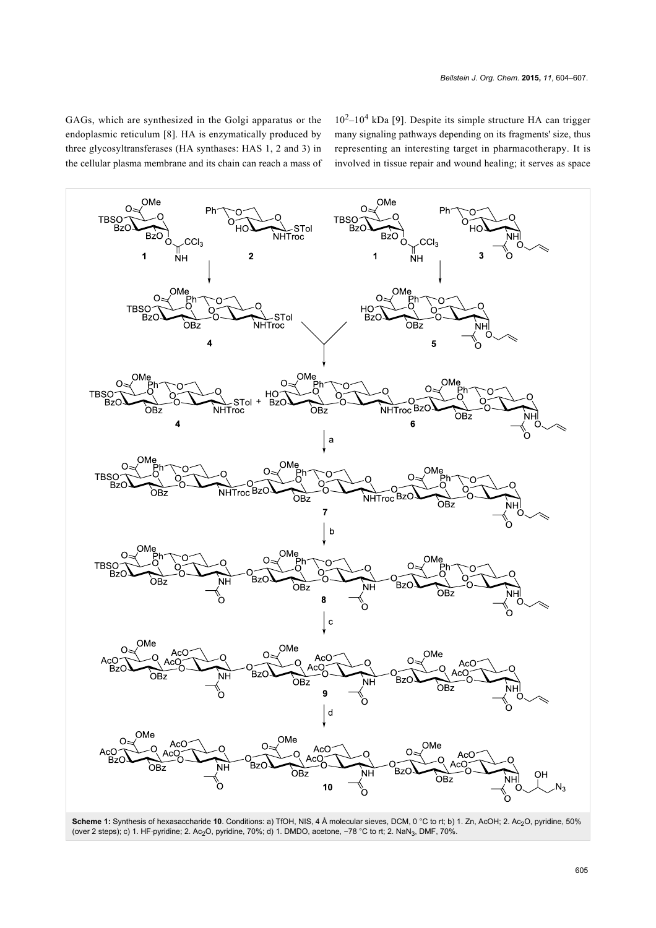GAGs, which are synthesized in the Golgi apparatus or the endoplasmic reticulum [\[8\]](#page-3-5). HA is enzymatically produced by three glycosyltransferases (HA synthases: HAS 1, 2 and 3) in the cellular plasma membrane and its chain can reach a mass of

 $10^2 - 10^4$  kDa [\[9\]](#page-3-6). Despite its simple structure HA can trigger many signaling pathways depending on its fragments' size, thus representing an interesting target in pharmacotherapy. It is involved in tissue repair and wound healing; it serves as space

<span id="page-1-0"></span>

**Scheme 1:** Synthesis of hexasaccharide **10**. Conditions: a) TfOH, NIS, 4 Å molecular sieves, DCM, 0 °C to rt; b) 1. Zn, AcOH; 2. Ac2O, pyridine, 50% (over 2 steps); c) 1. HF·pyridine; 2. Ac2O, pyridine, 70%; d) 1. DMDO, acetone, −78 °C to rt; 2. NaN3, DMF, 70%.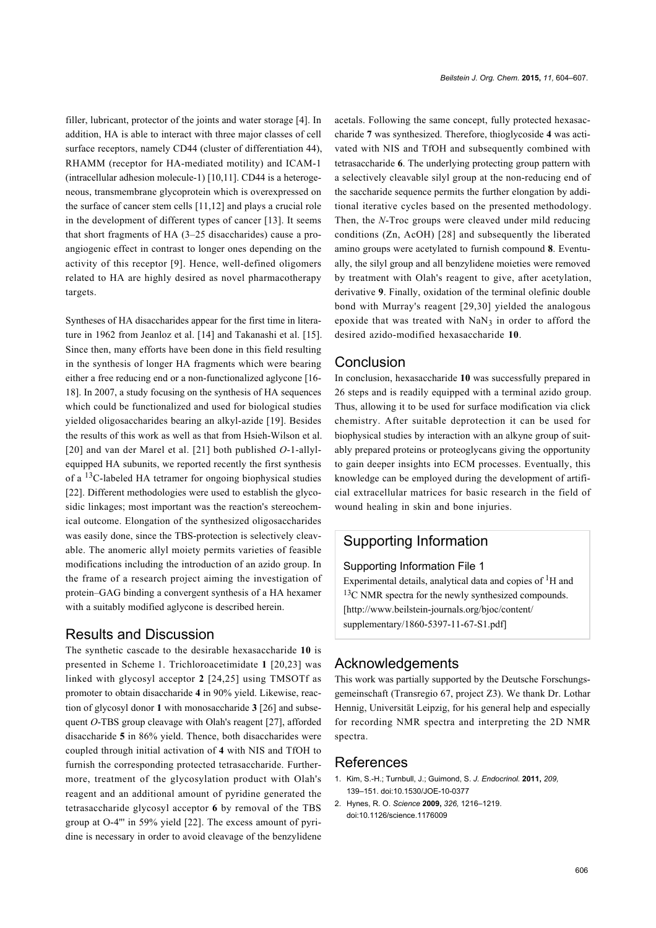filler, lubricant, protector of the joints and water storage [\[4\]](#page-3-1). In addition, HA is able to interact with three major classes of cell surface receptors, namely CD44 (cluster of differentiation 44), RHAMM (receptor for HA-mediated motility) and ICAM-1 (intracellular adhesion molecule-1) [\[10,11\].](#page-3-7) CD44 is a heterogeneous, transmembrane glycoprotein which is overexpressed on the surface of cancer stem cells [\[11,12\]](#page-3-8) and plays a crucial role in the development of different types of cancer [\[13\]](#page-3-9). It seems that short fragments of HA (3–25 disaccharides) cause a proangiogenic effect in contrast to longer ones depending on the activity of this receptor [\[9\]](#page-3-6). Hence, well-defined oligomers related to HA are highly desired as novel pharmacotherapy targets.

Syntheses of HA disaccharides appear for the first time in literature in 1962 from Jeanloz et al. [\[14\]](#page-3-10) and Takanashi et al. [\[15\]](#page-3-11). Since then, many efforts have been done in this field resulting in the synthesis of longer HA fragments which were bearing either a free reducing end or a non-functionalized aglycone [\[16-](#page-3-12) [18\].](#page-3-12) In 2007, a study focusing on the synthesis of HA sequences which could be functionalized and used for biological studies yielded oligosaccharides bearing an alkyl-azide [\[19\]](#page-3-13). Besides the results of this work as well as that from Hsieh-Wilson et al. [\[20\]](#page-3-14) and van der Marel et al. [\[21\]](#page-3-15) both published *O*-1-allylequipped HA subunits, we reported recently the first synthesis of a  $^{13}$ C-labeled HA tetramer for ongoing biophysical studies [\[22\].](#page-3-16) Different methodologies were used to establish the glycosidic linkages; most important was the reaction's stereochemical outcome. Elongation of the synthesized oligosaccharides was easily done, since the TBS-protection is selectively cleavable. The anomeric allyl moiety permits varieties of feasible modifications including the introduction of an azido group. In the frame of a research project aiming the investigation of protein–GAG binding a convergent synthesis of a HA hexamer with a suitably modified aglycone is described herein.

#### Results and Discussion

The synthetic cascade to the desirable hexasaccharide **10** is presented in [Scheme 1](#page-1-0). Trichloroacetimidate **1** [\[20,23\]](#page-3-14) was linked with glycosyl acceptor **2** [\[24,25\]](#page-3-17) using TMSOTf as promoter to obtain disaccharide **4** in 90% yield. Likewise, reaction of glycosyl donor **1** with monosaccharide **3** [\[26\]](#page-3-18) and subsequent *O*-TBS group cleavage with Olah's reagent [\[27\]](#page-3-19), afforded disaccharide **5** in 86% yield. Thence, both disaccharides were coupled through initial activation of **4** with NIS and TfOH to furnish the corresponding protected tetrasaccharide. Furthermore, treatment of the glycosylation product with Olah's reagent and an additional amount of pyridine generated the tetrasaccharide glycosyl acceptor **6** by removal of the TBS group at O-4''' in 59% yield [\[22\].](#page-3-16) The excess amount of pyridine is necessary in order to avoid cleavage of the benzylidene

acetals. Following the same concept, fully protected hexasaccharide **7** was synthesized. Therefore, thioglycoside **4** was activated with NIS and TfOH and subsequently combined with tetrasaccharide **6**. The underlying protecting group pattern with a selectively cleavable silyl group at the non-reducing end of the saccharide sequence permits the further elongation by additional iterative cycles based on the presented methodology. Then, the *N*-Troc groups were cleaved under mild reducing conditions (Zn, AcOH) [\[28\]](#page-3-20) and subsequently the liberated amino groups were acetylated to furnish compound **8**. Eventually, the silyl group and all benzylidene moieties were removed by treatment with Olah's reagent to give, after acetylation, derivative **9**. Finally, oxidation of the terminal olefinic double bond with Murray's reagent [\[29,30\]](#page-3-21) yielded the analogous epoxide that was treated with  $NaN<sub>3</sub>$  in order to afford the desired azido-modified hexasaccharide **10**.

## Conclusion

In conclusion, hexasaccharide **10** was successfully prepared in 26 steps and is readily equipped with a terminal azido group. Thus, allowing it to be used for surface modification via click chemistry. After suitable deprotection it can be used for biophysical studies by interaction with an alkyne group of suitably prepared proteins or proteoglycans giving the opportunity to gain deeper insights into ECM processes. Eventually, this knowledge can be employed during the development of artificial extracellular matrices for basic research in the field of wound healing in skin and bone injuries.

## Supporting Information

#### Supporting Information File 1

Experimental details, analytical data and copies of  ${}^{1}H$  and <sup>13</sup>C NMR spectra for the newly synthesized compounds. [\[http://www.beilstein-journals.org/bjoc/content/](http://www.beilstein-journals.org/bjoc/content/supplementary/1860-5397-11-67-S1.pdf) [supplementary/1860-5397-11-67-S1.pdf\]](http://www.beilstein-journals.org/bjoc/content/supplementary/1860-5397-11-67-S1.pdf)

#### Acknowledgements

This work was partially supported by the Deutsche Forschungsgemeinschaft (Transregio 67, project Z3). We thank Dr. Lothar Hennig, Universität Leipzig, for his general help and especially for recording NMR spectra and interpreting the 2D NMR spectra.

#### References

- <span id="page-2-0"></span>1. Kim, S.-H.; Turnbull, J.; Guimond, S. *J. Endocrinol.* **2011,** *209,* 139–151. [doi:10.1530/JOE-10-0377](http://dx.doi.org/10.1530%2FJOE-10-0377)
- <span id="page-2-1"></span>2. Hynes, R. O. *Science* **2009,** *326,* 1216–1219. [doi:10.1126/science.1176009](http://dx.doi.org/10.1126%2Fscience.1176009)